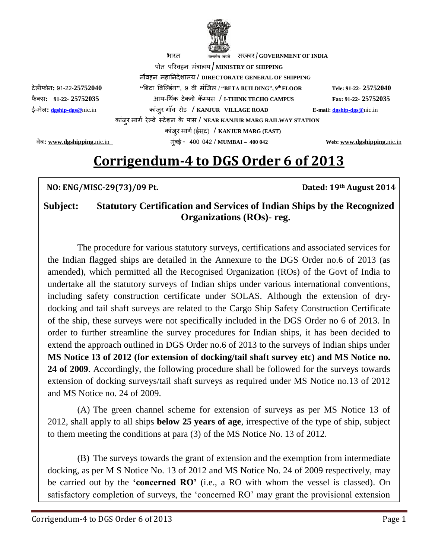

पोत पररवहन मंत्रालय / **MINISTRY OF SHIPPING** नौवहन महाननदेशालय **/ DIRECTORATE GENERAL OF SHIPPING** टेलीफोन**:** 91-22-**25752040 "**बिटा बिल्डंग**"**, <sup>9</sup> वी मंलिल **/ "BETA BUILDING", 9th FLOOR Tele: 91-22- 25752040**  फै क् स**: 91-22- 25752035** आय-थ कं टेक्नो क्पपस **/ I-THINK TECHO CAMPUS Fax: 91-22- 25752035**  ई-मेल**: [dgship-dgs@](mailto:dgship-dgs@)**nic.inकांिुर ग वं रोड **/ KANJUR VILLAGE ROAD E-mail[: dgship-dgs@](mailto:dgship-dgs@)**nic.in कािं ुर मागग रे् वे ट टेशन के पास **/ NEAR KANJUR MARG RAILWAY STATION** कांिुर मागग(ईसट ) **/ KANJUR MARG (EAST)**

वेि**: [www.dgshipping.](http://www.dgshipping./)**nic.in मुंिई - 400 042 **/ MUMBAI – 400 042 Web: [www.dgshipping.](http://www.dgshipping./)**nic.in

## **Corrigendum-4 to DGS Order 6 of 2013**

| NO: ENG/MISC-29(73)/09 Pt. |                                                                                                                   | Dated: 19th August 2014 |
|----------------------------|-------------------------------------------------------------------------------------------------------------------|-------------------------|
| Subject:                   | <b>Statutory Certification and Services of Indian Ships by the Recognized</b><br><b>Organizations (ROs)- reg.</b> |                         |

The procedure for various statutory surveys, certifications and associated services for the Indian flagged ships are detailed in the Annexure to the DGS Order no.6 of 2013 (as amended), which permitted all the Recognised Organization (ROs) of the Govt of India to undertake all the statutory surveys of Indian ships under various international conventions, including safety construction certificate under SOLAS. Although the extension of drydocking and tail shaft surveys are related to the Cargo Ship Safety Construction Certificate of the ship, these surveys were not specifically included in the DGS Order no 6 of 2013. In order to further streamline the survey procedures for Indian ships, it has been decided to extend the approach outlined in DGS Order no.6 of 2013 to the surveys of Indian ships under **MS Notice 13 of 2012 (for extension of docking/tail shaft survey etc) and MS Notice no. 24 of 2009**. Accordingly, the following procedure shall be followed for the surveys towards extension of docking surveys/tail shaft surveys as required under MS Notice no.13 of 2012 and MS Notice no. 24 of 2009.

(A) The green channel scheme for extension of surveys as per MS Notice 13 of 2012, shall apply to all ships **below 25 years of age**, irrespective of the type of ship, subject to them meeting the conditions at para (3) of the MS Notice No. 13 of 2012.

(B) The surveys towards the grant of extension and the exemption from intermediate docking, as per M S Notice No. 13 of 2012 and MS Notice No. 24 of 2009 respectively, may be carried out by the **'concerned RO'** (i.e., a RO with whom the vessel is classed). On satisfactory completion of surveys, the 'concerned RO' may grant the provisional extension